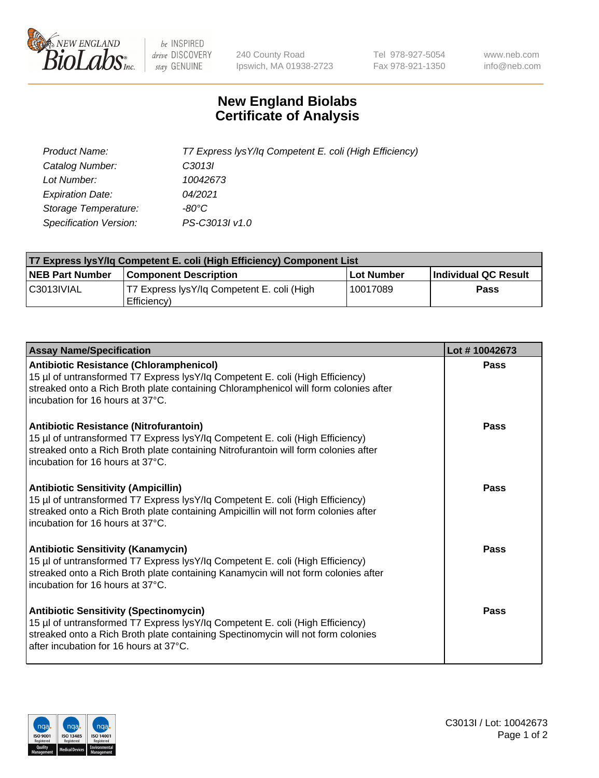

 $be$  INSPIRED drive DISCOVERY stay GENUINE

240 County Road Ipswich, MA 01938-2723 Tel 978-927-5054 Fax 978-921-1350 www.neb.com info@neb.com

## **New England Biolabs Certificate of Analysis**

| Product Name:           | T7 Express lysY/lq Competent E. coli (High Efficiency) |
|-------------------------|--------------------------------------------------------|
| Catalog Number:         | C3013I                                                 |
| Lot Number:             | 10042673                                               |
| <b>Expiration Date:</b> | 04/2021                                                |
| Storage Temperature:    | -80°C                                                  |
| Specification Version:  | PS-C3013I v1.0                                         |

| <b>T7 Express lysY/lg Competent E. coli (High Efficiency) Component List</b> |                                                           |            |                      |  |
|------------------------------------------------------------------------------|-----------------------------------------------------------|------------|----------------------|--|
| <b>NEB Part Number</b>                                                       | <b>Component Description</b>                              | Lot Number | Individual QC Result |  |
| C3013IVIAL                                                                   | T7 Express lysY/lq Competent E. coli (High<br>Efficiency) | 10017089   | Pass                 |  |

| <b>Assay Name/Specification</b>                                                                                                                                                                                                                              | Lot #10042673 |
|--------------------------------------------------------------------------------------------------------------------------------------------------------------------------------------------------------------------------------------------------------------|---------------|
| <b>Antibiotic Resistance (Chloramphenicol)</b><br>15 µl of untransformed T7 Express lysY/lq Competent E. coli (High Efficiency)<br>streaked onto a Rich Broth plate containing Chloramphenicol will form colonies after<br>incubation for 16 hours at 37°C.  | <b>Pass</b>   |
| <b>Antibiotic Resistance (Nitrofurantoin)</b><br>15 µl of untransformed T7 Express lysY/lq Competent E. coli (High Efficiency)<br>streaked onto a Rich Broth plate containing Nitrofurantoin will form colonies after<br>incubation for 16 hours at 37°C.    | Pass          |
| <b>Antibiotic Sensitivity (Ampicillin)</b><br>15 µl of untransformed T7 Express lysY/lq Competent E. coli (High Efficiency)<br>streaked onto a Rich Broth plate containing Ampicillin will not form colonies after<br>incubation for 16 hours at 37°C.       | Pass          |
| <b>Antibiotic Sensitivity (Kanamycin)</b><br>15 µl of untransformed T7 Express lysY/lq Competent E. coli (High Efficiency)<br>streaked onto a Rich Broth plate containing Kanamycin will not form colonies after<br>incubation for 16 hours at 37°C.         | <b>Pass</b>   |
| <b>Antibiotic Sensitivity (Spectinomycin)</b><br>15 µl of untransformed T7 Express lysY/lq Competent E. coli (High Efficiency)<br>streaked onto a Rich Broth plate containing Spectinomycin will not form colonies<br>after incubation for 16 hours at 37°C. | Pass          |